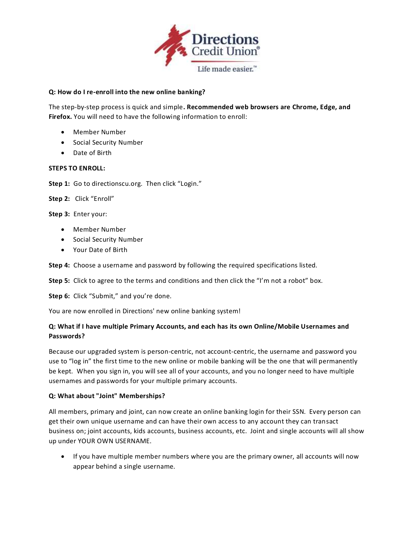

# **Q: How do I re-enroll into the new online banking?**

The step-by-step process is quick and simple**. Recommended web browsers are Chrome, Edge, and Firefox.** You will need to have the following information to enroll:

- Member Number
- Social Security Number
- Date of Birth

### **STEPS TO ENROLL:**

Step 1: Go to directionscu.org. Then click "Login."

**Step 2:** Click "Enroll"

**Step 3:** Enter your:

- Member Number
- Social Security Number
- Your Date of Birth

**Step 4:** Choose a username and password by following the required specifications listed.

**Step 5:** Click to agree to the terms and conditions and then click the "I'm not a robot" box.

**Step 6:** Click "Submit," and you're done.

You are now enrolled in Directions' new online banking system!

# **Q: What if I have multiple Primary Accounts, and each has its own Online/Mobile Usernames and Passwords?**

Because our upgraded system is person-centric, not account-centric, the username and password you use to "log in" the first time to the new online or mobile banking will be the one that will permanently be kept. When you sign in, you will see all of your accounts, and you no longer need to have multiple usernames and passwords for your multiple primary accounts.

### **Q: What about "Joint" Memberships?**

All members, primary and joint, can now create an online banking login for their SSN. Every person can get their own unique username and can have their own access to any account they can transact business on; joint accounts, kids accounts, business accounts, etc. Joint and single accounts will all show up under YOUR OWN USERNAME.

• If you have multiple member numbers where you are the primary owner, all accounts will now appear behind a single username.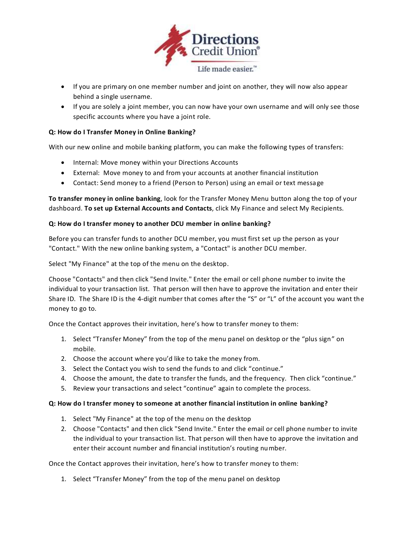

- If you are primary on one member number and joint on another, they will now also appear behind a single username.
- If you are solely a joint member, you can now have your own username and will only see those specific accounts where you have a joint role.

# **Q: How do I Transfer Money in Online Banking?**

With our new online and mobile banking platform, you can make the following types of transfers:

- Internal: Move money within your Directions Accounts
- External: Move money to and from your accounts at another financial institution
- Contact: Send money to a friend (Person to Person) using an email or text message

**To transfer money in online banking**, look for the Transfer Money Menu button along the top of your dashboard. **To set up External Accounts and Contacts**, click My Finance and select My Recipients.

### **Q: How do I transfer money to another DCU member in online banking?**

Before you can transfer funds to another DCU member, you must first set up the person as your "Contact." With the new online banking system, a "Contact" is another DCU member.

Select "My Finance" at the top of the menu on the desktop.

Choose "Contacts" and then click "Send Invite." Enter the email or cell phone number to invite the individual to your transaction list. That person will then have to approve the invitation and enter their Share ID. The Share ID is the 4-digit number that comes after the "S" or "L" of the account you want the money to go to.

Once the Contact approves their invitation, here's how to transfer money to them:

- 1. Select "Transfer Money" from the top of the menu panel on desktop or the "plus sign" on mobile.
- 2. Choose the account where you'd like to take the money from.
- 3. Select the Contact you wish to send the funds to and click "continue."
- 4. Choose the amount, the date to transfer the funds, and the frequency. Then click "continue."
- 5. Review your transactions and select "continue" again to complete the process.

#### **Q: How do I transfer money to someone at another financial institution in online banking?**

- 1. Select "My Finance" at the top of the menu on the desktop
- 2. Choose "Contacts" and then click "Send Invite." Enter the email or cell phone number to invite the individual to your transaction list. That person will then have to approve the invitation and enter their account number and financial institution's routing number.

Once the Contact approves their invitation, here's how to transfer money to them:

1. Select "Transfer Money" from the top of the menu panel on desktop